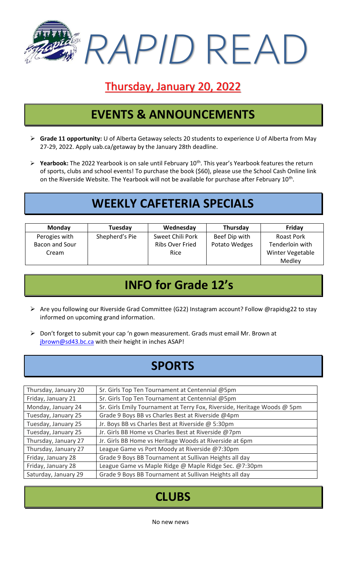*RAPID* READ

### Thursday, January 20, 2022

# **EVENTS & ANNOUNCEMENTS**

- ➢ **Grade 11 opportunity:** U of Alberta Getaway selects 20 students to experience U of Alberta from May 27-29, 2022. Apply uab.ca/getaway by the January 28th deadline.
- ➢ **Yearbook:** The 2022 Yearbook is on sale until February 10th. This year's Yearbook features the return of sports, clubs and school events! To purchase the book (\$60), please use the School Cash Online link on the Riverside Website. The Yearbook will not be available for purchase after February 10<sup>th</sup>.

# **WEEKLY CAFETERIA SPECIALS**

| <b>Monday</b>  | Tuesday        | Wednesday              | <b>Thursday</b> | Friday            |
|----------------|----------------|------------------------|-----------------|-------------------|
| Perogies with  | Shepherd's Pie | Sweet Chili Pork       | Beef Dip with   | <b>Roast Pork</b> |
| Bacon and Sour |                | <b>Ribs Over Fried</b> | Potato Wedges   | Tenderloin with   |
| Cream          |                | <b>Rice</b>            |                 | Winter Vegetable  |
|                |                |                        |                 | Medley            |

## **INFO for Grade 12's**

- ➢ Are you following our Riverside Grad Committee (G22) Instagram account? Follow @rapidsg22 to stay informed on upcoming grand information.
- ➢ Don't forget to submit your cap 'n gown measurement. Grads must email Mr. Brown at [jbrown@sd43.bc.ca](mailto:jbrown@sd43.bc.ca) with their height in inches ASAP!

### **SPORTS**

| Thursday, January 20 | Sr. Girls Top Ten Tournament at Centennial @5pm                          |  |
|----------------------|--------------------------------------------------------------------------|--|
| Friday, January 21   | Sr. Girls Top Ten Tournament at Centennial @5pm                          |  |
| Monday, January 24   | Sr. Girls Emily Tournament at Terry Fox, Riverside, Heritage Woods @ 5pm |  |
| Tuesday, January 25  | Grade 9 Boys BB vs Charles Best at Riverside @4pm                        |  |
| Tuesday, January 25  | Jr. Boys BB vs Charles Best at Riverside @ 5:30pm                        |  |
| Tuesday, January 25  | Jr. Girls BB Home vs Charles Best at Riverside @7pm                      |  |
| Thursday, January 27 | Jr. Girls BB Home vs Heritage Woods at Riverside at 6pm                  |  |
| Thursday, January 27 | League Game vs Port Moody at Riverside @7:30pm                           |  |
| Friday, January 28   | Grade 9 Boys BB Tournament at Sullivan Heights all day                   |  |
| Friday, January 28   | League Game vs Maple Ridge @ Maple Ridge Sec. @7:30pm                    |  |
| Saturday, January 29 | Grade 9 Boys BB Tournament at Sullivan Heights all day                   |  |

# **CLUBS**